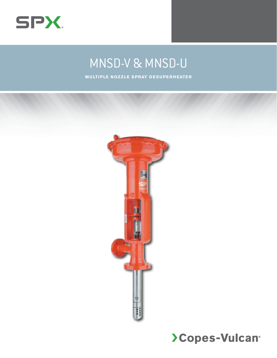

# MNSD-V & MNSD-U

**M u lti ple Noz z le S pray D esuperheater**

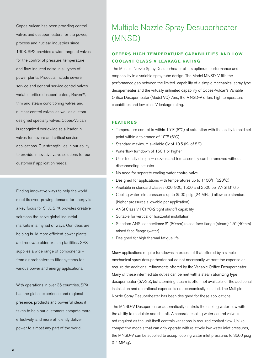Copes-Vulcan has been providing control valves and desuperheaters for the power, process and nuclear industries since 1903. SPX provides a wide range of valves for the control of pressure, temperature and flow-induced noise in all types of power plants. Products include severe service and general service control valves, variable orifice desuperheaters, Raven™, trim and steam conditioning valves and nuclear control valves, as well as custom designed specialty valves. Copes-Vulcan is recognized worldwide as a leader in valves for severe and critical service applications. Our strength lies in our ability to provide innovative valve solutions for our customers' application needs.

Finding innovative ways to help the world meet its ever growing demand for energy is a key focus for SPX. SPX provides creative solutions the serve global industrial markets in a myriad of ways. Our ideas are helping build more efficient power plants and renovate older existing facilities. SPX supplies a wide range of components – from air preheaters to filter systems for various power and energy applications.

With operations in over 35 countries, SPX has the global experience and regional presence, products and powerful ideas it takes to help our customers compete more effectively, and more efficiently deliver power to almost any part of the world.

# Multiple Nozzle Spray Desuperheater (MNSD)

## **Offer s H igh Temperature Capabilities and Low COOLANT CLASS V LEAKAGE RATING**

The Multiple Nozzle Spray Desuperheater offers optimum performance and rangeability in a variable spray tube design. The Model MNSD-V fills the performance gap between the limited capability of a simple mechanical spray type desuperheater and the virtually unlimited capability of Copes-Vulcan's Variable Orifice Desuperheater (Model VO). And, the MNSD-V offers high temperature capabilities and low class V leakage rating.

### **Features**

- Temperature control to within  $15^{\circ}F(8^{\circ}C)$  of saturation with the ability to hold set point within a tolerance of 10°F (6°C)
- • Standard maximum available Cv of 10.5 (Kv of 8.9)
- • Waterflow turndown of 150:1 or higher
- User friendly design nozzles and trim assembly can be removed without disconnecting actuator
- • No need for separate cooling water control valve
- Designed for applications with temperatures up to 1150°F (620°C)
- Available in standard classes 600, 900, 1500 and 2500 per ANSI B16.5
- Cooling water inlet pressures up to 3500 psig (24 MPag) allowable standard (higher pressures allowable per application)
- • ANSI Class V FCI 70-2 tight shutoff capability
- • Suitable for vertical or horizontal installation
- • Standard ANSI connections: 3" (80mm) raised face flange (steam) 1.5" (40mm) raised face flange (water)
- • Designed for high thermal fatigue life

Many applications require turndowns in excess of that offered by a simple mechanical spray desuperheater but do not necessarily warrant the expense or require the additional refinements offered by the Variable Orifice Desuperheater. Many of these intermediate duties can be met with a steam atomizing type desuperheater (SA-35), but atomizing steam is often not available, or the additional installation and operational expense is not economically justified. The Multiple Nozzle Spray Desuperheater has been designed for these applications.

The MNSD-V Desuperheater automatically controls the cooling water flow with the ability to modulate and shutoff. A separate cooling water control valve is not required as the unit itself controls variations in required coolant flow. Unlike competitive models that can only operate with relatively low water inlet pressures, the MNSD-V can be supplied to accept cooling water inlet pressures to 3500 psig (24 MPag).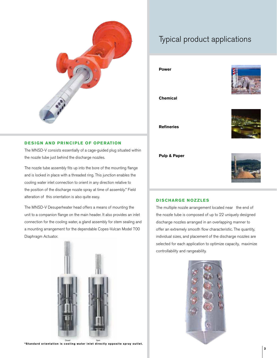

### **DESIGN AND PRINCIPLE OF OPERATION**

The MNSD-V consists essentially of a cage-guided plug situated within the nozzle tube just behind the discharge nozzles.

The nozzle tube assembly fits up into the bore of the mounting flange and is locked in place with a threaded ring. This junction enables the cooling water inlet connection to orient in any direction relative to the position of the discharge nozzle spray at time of assembly.\* Field alteration of this orientation is also quite easy.

The MNSD-V Desuperheater head offers a means of mounting the unit to a companion flange on the main header. It also provides an inlet connection for the cooling water, a gland assembly for stem sealing and a mounting arrangement for the dependable Copes-Vulcan Model 700 Diaphragm Actuator.



<sup>Closed</sup> Open<br>\*Standard orientation is cooling water inlet directly opposite spray outlet.

# Typical product applications

**Power**



**Chemical**

**Refineries**



**Pulp & Paper**



#### **D ischarge Nozzles**

The multiple nozzle arrangement located near the end of the nozzle tube is composed of up to 22 uniquely designed discharge nozzles arranged in an overlapping manner to offer an extremely smooth flow characteristic. The quantity, individual sizes, and placement of the discharge nozzles are selected for each application to optimize capacity, maximize controllability and rangeability.

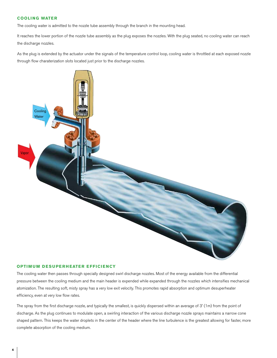### **Cooli ng Water**

The cooling water is admitted to the nozzle tube assembly through the branch in the mounting head.

It reaches the lower portion of the nozzle tube assembly as the plug exposes the nozzles. With the plug seated, no cooling water can reach the discharge nozzles.

As the plug is extended by the actuator under the signals of the temperature control loop, cooling water is throttled at each exposed nozzle through flow charaterization slots located just prior to the discharge nozzles.



### **OPTIMUM DESUPERHEATER EFFICIENCY**

The cooling water then passes through specially designed swirl discharge nozzles. Most of the energy available from the differential pressure between the cooling medium and the main header is expended while expanded through the nozzles which intensifies mechanical atomization. The resulting soft, misty spray has a very low exit velocity. This promotes rapid absorption and optimum desuperheater efficiency, even at very low flow rates.

The spray from the first discharge nozzle, and typically the smallest, is quickly dispersed within an average of 3' (1m) from the point of discharge. As the plug continues to modulate open, a swirling interaction of the various discharge nozzle sprays maintains a narrow cone shaped pattern. This keeps the water droplets in the center of the header where the line turbulence is the greatest allowing for faster, more complete absorption of the cooling medium.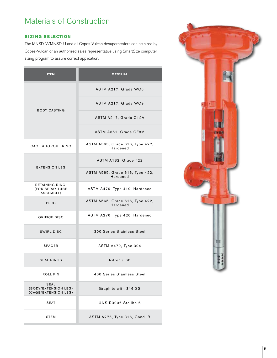# Materials of Construction

### **Sizi ng Selection**

The MNSD-V/MNSD-U and all Copes-Vulcan desuperheaters can be sized by Copes-Vulcan or an authorized sales representative using SmartSize computer sizing program to assure correct application.

| <b>ITEM</b>                                          | <b>MATERIAL</b>                             |  |  |  |
|------------------------------------------------------|---------------------------------------------|--|--|--|
|                                                      | ASTM A217, Grade WC6                        |  |  |  |
|                                                      | ASTM A217, Grade WC9                        |  |  |  |
| <b>BODY CASTING</b>                                  | ASTM A217, Grade C12A                       |  |  |  |
|                                                      | ASTM A351, Grade CF8M                       |  |  |  |
| <b>CAGE &amp; TORQUE RING</b>                        | ASTM A565, Grade 616, Type 422,<br>Hardened |  |  |  |
| <b>EXTENSION LEG</b>                                 | ASTM A182, Grade F22                        |  |  |  |
|                                                      | ASTM A565, Grade 616, Type 422,<br>Hardened |  |  |  |
| RETAINING RING:<br>(FOR SPRAY TUBE<br>ASSEMBLY)      | ASTM A479, Type 410, Hardened               |  |  |  |
| PLUG                                                 | ASTM A565, Grade 616, Type 422,<br>Hardened |  |  |  |
| ORIFICE DISC                                         | ASTM A276, Type 420, Hardened               |  |  |  |
| <b>SWIRL DISC</b>                                    | 300 Series Stainless Steel                  |  |  |  |
| <b>SPACER</b>                                        | ASTM A479, Type 304                         |  |  |  |
| <b>SEAL RINGS</b>                                    | Nitronic 60                                 |  |  |  |
| ROLL PIN                                             | 400 Series Stainless Steel                  |  |  |  |
| SEAL<br>(BODY/EXTENSION LEG)<br>(CAGE/EXTENSION LEG) | Graphite with 316 SS                        |  |  |  |
| SEAT                                                 | UNS R3006 Stellite 6                        |  |  |  |
| STEM                                                 | ASTM A276, Type 316, Cond. B                |  |  |  |

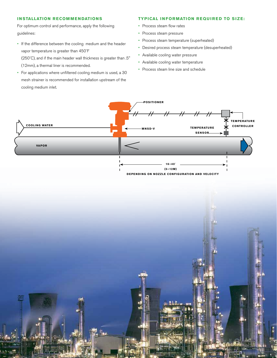### **Installation R ecommendations**

For optimum control and performance, apply the following guidelines:

- If the difference between the cooling medium and the header vapor temperature is greater than 450˚F (250˚C), and if the main header wall thickness is greater than .5" (12mm), a thermal liner is recommended.
- For applications where unfiltered cooling medium is used, a 30 mesh strainer is recommended for installation upstream of the cooling medium inlet.

### **TYPICAL INFORMATION REQUIRED TO SIZE:**

- Process steam flow rates
- Process steam pressure
- • Process steam temperature (superheated)
- • Desired process steam temperature (desuperheated)
- • Available cooling water pressure
- • Available cooling water temperature
- • Process steam line size and schedule



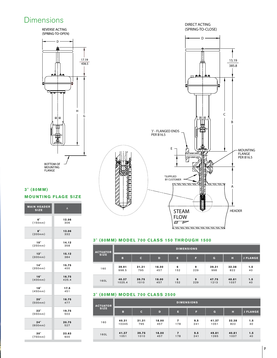# **Dimensions**

REVERSE ACTING (SPRING-TO-OPEN) DIRECT ACTING (SPRING-TO-CLOSE)



# 3" (80MM) MODEL 700 CLASS 150 THROUGH 1500

| ACTUATOR    | <b>DIMENSIONS</b> |              |       |     |     |       |       |                 |
|-------------|-------------------|--------------|-------|-----|-----|-------|-------|-----------------|
| <b>SIZE</b> | в                 | $\mathsf{C}$ | D     | п   | F   | G     | н     | <b>J FLANGE</b> |
| 160         | 39.91             | 31.31        | 18.00 | 6   | 9   | 39.31 | 32.38 | 1.5             |
|             | 998.5             | 795          | 457   | 152 | 229 | 998   | 822   | 40              |
| 160L        | 40.37             | 39.75        | 18.00 | 6   | 9   | 47.75 | 40.81 | 1.5             |
|             | 1025.4            | 1010         | 457   | 152 | 229 | 1213  | 1037  | 40              |

para a n n n n n n n

### **3" (80MM) MODEL 700 CLASS 2500**

| <b>ACTUATOR</b><br><b>SIZE</b> | <b>DIMENSIONS</b> |              |       |                          |     |              |       |                 |
|--------------------------------|-------------------|--------------|-------|--------------------------|-----|--------------|-------|-----------------|
|                                | в                 | $\mathbf{C}$ | D     | п                        | F   | $\mathbf{G}$ | н     | <b>J FLANGE</b> |
| 160                            | 40.31             | 31.31        | 18.00 | 7                        | 9.5 | 41.37        | 32.38 | 1.5             |
|                                | 10245             | 795          | 457   | 178                      | 241 | 1051         | 822   | 40              |
| 160L                           | 41.37             | 39.75        | 18.00 | $\overline{\phantom{a}}$ | 9.5 | 49.81        | 40.81 | 1.5             |
|                                | 1051              | 1010         | 457   | 178                      | 241 | 1265         | 1037  | 40              |



# **3" (80mm) MOUNTING FLAGE SIZE**

e.

| <b>MAIN HEADER</b><br><b>SIZE</b> | $\overline{A}$ |
|-----------------------------------|----------------|
| 6"                                | 12.06          |
| (150mm)                           | 306            |
| $\mathbf{R}$ "                    | 13.06          |
| (200mm)                           | 332            |
| 10"                               | 14.12          |
| (250mm)                           | 358            |
| 12"                               | 15.12          |
| (300mm)                           | 384            |
| 14"                               | 15.75          |
| (350mm)                           | 400            |
| 16"                               | 16.75          |
| (400mm)                           | 425.4          |
| 18"                               | 17.5           |
| (450mm)                           | 451            |
| 20"                               | 18.75          |
| (500mm)                           | 477            |
| 22"                               | 19.75          |
| (550mm)                           | 502            |
| 24"                               | 20.75          |
| (600mm)                           | 527            |
| 30"                               | 23.63          |
| (750mm)                           | 600            |